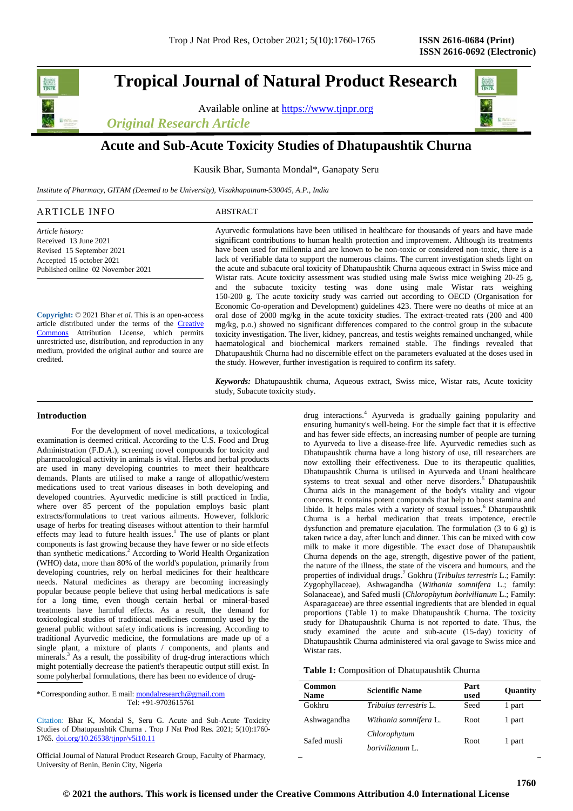# **Tropical Journal of Natural Product Research**

Available online at [https://www.tjnpr.org](https://www.tjnpr.org/)

*Original Research Article*



## **Acute and Sub-Acute Toxicity Studies of Dhatupaushtik Churna**

Kausik Bhar, Sumanta Mondal\*, Ganapaty Seru

*Institute of Pharmacy, GITAM (Deemed to be University), Visakhapatnam-530045, A.P., India*

## ARTICLE INFO ABSTRACT

*Article history:* Received 13 June 2021 Revised 15 September 2021 Accepted 15 october 2021 Published online 02 November 2021

**Copyright:** © 2021 Bhar *et al*. This is an open-access article distributed under the terms of the [Creative](https://creativecommons.org/licenses/by/4.0/)  [Commons](https://creativecommons.org/licenses/by/4.0/) Attribution License, which permits unrestricted use, distribution, and reproduction in any medium, provided the original author and source are credited.

Ayurvedic formulations have been utilised in healthcare for thousands of years and have made significant contributions to human health protection and improvement. Although its treatments have been used for millennia and are known to be non-toxic or considered non-toxic, there is a lack of verifiable data to support the numerous claims. The current investigation sheds light on the acute and subacute oral toxicity of Dhatupaushtik Churna aqueous extract in Swiss mice and Wistar rats. Acute toxicity assessment was studied using male Swiss mice weighing 20-25 g, and the subacute toxicity testing was done using male Wistar rats weighing 150-200 g. The acute toxicity study was carried out according to OECD (Organisation for Economic Co-operation and Development) guidelines 423. There were no deaths of mice at an oral dose of 2000 mg/kg in the acute toxicity studies. The extract-treated rats (200 and 400 mg/kg, p.o.) showed no significant differences compared to the control group in the subacute toxicity investigation. The liver, kidney, pancreas, and testis weights remained unchanged, while haematological and biochemical markers remained stable. The findings revealed that Dhatupaushtik Churna had no discernible effect on the parameters evaluated at the doses used in the study. However, further investigation is required to confirm its safety.

*Keywords:* Dhatupaushtik churna, Aqueous extract, Swiss mice, Wistar rats, Acute toxicity study, Subacute toxicity study.

#### **Introduction**

For the development of novel medications, a toxicological examination is deemed critical. According to the U.S. Food and Drug Administration (F.D.A.), screening novel compounds for toxicity and pharmacological activity in animals is vital. Herbs and herbal products are used in many developing countries to meet their healthcare demands. Plants are utilised to make a range of allopathic/western medications used to treat various diseases in both developing and developed countries. Ayurvedic medicine is still practiced in India, where over 85 percent of the population employs basic plant extracts/formulations to treat various ailments. However, folkloric usage of herbs for treating diseases without attention to their harmful effects may lead to future health issues.<sup>1</sup> The use of plants or plant components is fast growing because they have fewer or no side effects than synthetic medications.<sup>2</sup> According to World Health Organization (WHO) data, more than 80% of the world's population, primarily from developing countries, rely on herbal medicines for their healthcare needs. Natural medicines as therapy are becoming increasingly popular because people believe that using herbal medications is safe for a long time, even though certain herbal or mineral-based treatments have harmful effects. As a result, the demand for toxicological studies of traditional medicines commonly used by the general public without safety indications is increasing. According to traditional Ayurvedic medicine, the formulations are made up of a single plant, a mixture of plants / components, and plants and minerals.<sup>3</sup> As a result, the possibility of drug-drug interactions which might potentially decrease the patient's therapeutic output still exist. In some polyherbal formulations, there has been no evidence of drug-

\*Corresponding author. E mail[: mondalresearch@gmail.com](mailto:mondalresearch@gmail.com) Tel: +91-9703615761

Citation: Bhar K, Mondal S, Seru G. Acute and Sub-Acute Toxicity Studies of Dhatupaushtik Churna . Trop J Nat Prod Res. 2021; 5(10):1760- 1765. [doi.org/10.26538/tjnpr/v5i10.1](http://www.doi.org/10.26538/tjnpr/v1i4.5)1

Official Journal of Natural Product Research Group, Faculty of Pharmacy, University of Benin, Benin City, Nigeria

drug interactions.<sup>4</sup> Ayurveda is gradually gaining popularity and ensuring humanity's well-being. For the simple fact that it is effective and has fewer side effects, an increasing number of people are turning to Ayurveda to live a disease-free life. Ayurvedic remedies such as Dhatupaushtik churna have a long history of use, till researchers are now extolling their effectiveness. Due to its therapeutic qualities, Dhatupaushtik Churna is utilised in Ayurveda and Unani healthcare systems to treat sexual and other nerve disorders.<sup>5</sup> Dhatupaushtik Churna aids in the management of the body's vitality and vigour concerns. It contains potent compounds that help to boost stamina and libido. It helps males with a variety of sexual issues.<sup>6</sup> Dhatupaushtik Churna is a herbal medication that treats impotence, erectile dysfunction and premature ejaculation. The formulation (3 to 6 g) is taken twice a day, after lunch and dinner. This can be mixed with cow milk to make it more digestible. The exact dose of Dhatupaushtik Churna depends on the age, strength, digestive power of the patient, the nature of the illness, the state of the viscera and humours, and the properties of individual drugs.<sup>7</sup> Gokhru (*Tribulus terrestris* L.; Family: Zygophyllaceae), Ashwagandha (*Withania somnifera* L.; family: Solanaceae), and Safed musli (*Chlorophytum borivilianum* L.; Family: Asparagaceae) are three essential ingredients that are blended in equal proportions (Table 1) to make Dhatupaushtik Churna. The toxicity study for Dhatupaushtik Churna is not reported to date. Thus, the study examined the acute and sub-acute (15-day) toxicity of Dhatupaushtik Churna administered via oral gavage to Swiss mice and Wistar rats.

| Table 1: Composition of Dhatupaushtik Churna |  |  |  |  |
|----------------------------------------------|--|--|--|--|
|----------------------------------------------|--|--|--|--|

| Common<br><b>Name</b> | <b>Scientific Name</b>        | Part<br>used | Quantity |
|-----------------------|-------------------------------|--------------|----------|
| Gokhru                | <i>Tribulus terrestris</i> L. | Seed         | 1 part   |
| Ashwagandha           | Withania somnifera L.         | Root.        | 1 part   |
| Safed musli           | Chlorophytum                  | <b>Root</b>  | 1 part   |
|                       | <i>borivilianum</i> L.        |              |          |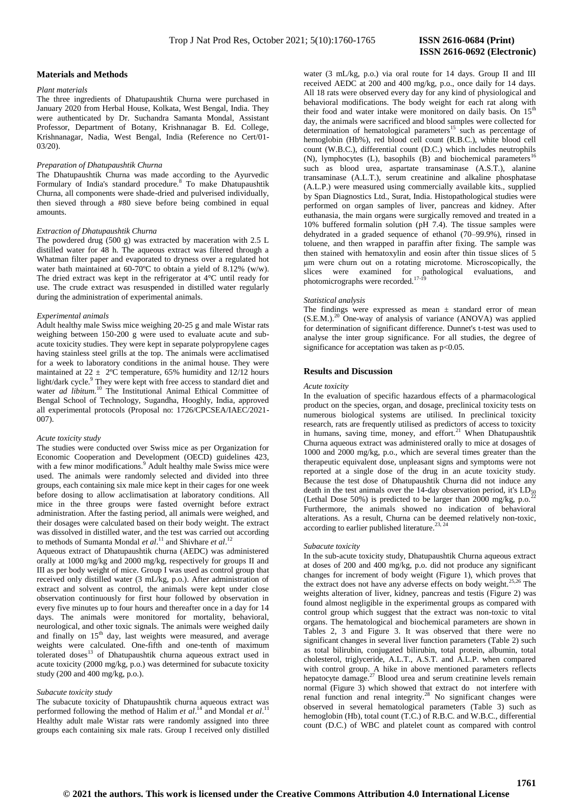#### **Materials and Methods**

## *Plant materials*

The three ingredients of Dhatupaushtik Churna were purchased in January 2020 from Herbal House, Kolkata, West Bengal, India. They were authenticated by Dr. Suchandra Samanta Mondal, Assistant Professor, Department of Botany, Krishnanagar B. Ed. College, Krishnanagar, Nadia, West Bengal, India (Reference no Cert/01- 03/20).

#### *Preparation of Dhatupaushtik Churna*

The Dhatupaushtik Churna was made according to the Ayurvedic Formulary of India's standard procedure.<sup>8</sup> To make Dhatupaushtik Churna, all components were shade-dried and pulverised individually, then sieved through a #80 sieve before being combined in equal amounts.

#### *Extraction of Dhatupaushtik Churna*

The powdered drug (500 g) was extracted by maceration with 2.5 L distilled water for 48 h. The aqueous extract was filtered through a Whatman filter paper and evaporated to dryness over a regulated hot water bath maintained at 60-70ºC to obtain a yield of 8.12% (w/w). The dried extract was kept in the refrigerator at 4°C until ready for use. The crude extract was resuspended in distilled water regularly during the administration of experimental animals.

## *Experimental animals*

Adult healthy male Swiss mice weighing 20-25 g and male Wistar rats weighing between 150-200 g were used to evaluate acute and subacute toxicity studies. They were kept in separate polypropylene cages having stainless steel grills at the top. The animals were acclimatised for a week to laboratory conditions in the animal house. They were maintained at  $22 \pm 2^{\circ}$ C temperature, 65% humidity and 12/12 hours light/dark cycle.<sup>9</sup> They were kept with free access to standard diet and water *ad libitum*.<sup>10</sup> The Institutional Animal Ethical Committee of Bengal School of Technology, Sugandha, Hooghly, India, approved all experimental protocols (Proposal no: 1726/CPCSEA/IAEC/2021-  $007$ 

#### *Acute toxicity study*

The studies were conducted over Swiss mice as per Organization for Economic Cooperation and Development (OECD) guidelines 423, with a few minor modifications.<sup>9</sup> Adult healthy male Swiss mice were used. The animals were randomly selected and divided into three groups, each containing six male mice kept in their cages for one week before dosing to allow acclimatisation at laboratory conditions. All mice in the three groups were fasted overnight before extract administration. After the fasting period, all animals were weighed, and their dosages were calculated based on their body weight. The extract was dissolved in distilled water, and the test was carried out according to methods of Sumanta Mondal *et al.*<sup>11</sup> and Shivhare *et al.*<sup>12</sup>

Aqueous extract of Dhatupaushtik churna (AEDC) was administered orally at 1000 mg/kg and 2000 mg/kg, respectively for groups II and III as per body weight of mice. Group I was used as control group that received only distilled water (3 mL/kg, p.o.). After administration of extract and solvent as control, the animals were kept under close observation continuously for first hour followed by observation in every five minutes up to four hours and thereafter once in a day for 14 days. The animals were monitored for mortality, behavioral, neurological, and other toxic signals. The animals were weighed daily and finally on  $15<sup>th</sup>$  day, last weights were measured, and average weights were calculated. One-fifth and one-tenth of maximum tolerated doses<sup>13</sup> of Dhatupaushtik churna aqueous extract used in acute toxicity (2000 mg/kg, p.o.) was determined for subacute toxicity study (200 and 400 mg/kg, p.o.).

### *Subacute toxicity study*

The subacute toxicity of Dhatupaushtik churna aqueous extract was performed following the method of Halim *et al.*<sup>14</sup> and Mondal *et al.*<sup>11</sup> Healthy adult male Wistar rats were randomly assigned into three groups each containing six male rats. Group I received only distilled  **ISSN 2616-0692 (Electronic)** 

water (3 mL/kg, p.o.) via oral route for 14 days. Group II and III received AEDC at 200 and 400 mg/kg, p.o., once daily for 14 days. All 18 rats were observed every day for any kind of physiological and behavioral modifications. The body weight for each rat along with their food and water intake were monitored on daily basis. On  $15<sup>th</sup>$ day, the animals were sacrificed and blood samples were collected for determination of hematological parameters<sup>15</sup> such as percentage of hemoglobin (Hb%), red blood cell count (R.B.C.), white blood cell count (W.B.C.), differential count (D.C.) which includes neutrophils (N), lymphocytes (L), basophils (B) and biochemical parameters<sup>1</sup> such as blood urea, aspartate transaminase (A.S.T.), alanine transaminase (A.L.T.), serum creatinine and alkaline phosphatase (A.L.P.) were measured using commercially available kits., supplied by Span Diagnostics Ltd., Surat, India. Histopathological studies were performed on organ samples of liver, pancreas and kidney. After euthanasia, the main organs were surgically removed and treated in a 10% buffered formalin solution (pH 7.4). The tissue samples were dehydrated in a graded sequence of ethanol (70–99.9%), rinsed in toluene, and then wrapped in paraffin after fixing. The sample was then stained with hematoxylin and eosin after thin tissue slices of 5 μm were churn out on a rotating microtome. Microscopically, the slices were examined for pathological evaluations, and photomicrographs were recorded.<sup>17-19</sup>

#### *Statistical analysis*

The findings were expressed as mean  $\pm$  standard error of mean  $(S.E.M.)<sup>20</sup>$  One-way of analysis of variance (ANOVA) was applied for determination of significant difference. Dunnet's t-test was used to analyse the inter group significance. For all studies, the degree of significance for acceptation was taken as  $p<0.05$ .

#### **Results and Discussion**

#### *Acute toxicity*

In the evaluation of specific hazardous effects of a pharmacological product on the species, organ, and dosage, preclinical toxicity tests on numerous biological systems are utilised. In preclinical toxicity research, rats are frequently utilised as predictors of access to toxicity in humans, saving time, money, and effort.<sup>21</sup> When Dhatupaushtik Churna aqueous extract was administered orally to mice at dosages of 1000 and 2000 mg/kg, p.o., which are several times greater than the therapeutic equivalent dose, unpleasant signs and symptoms were not reported at a single dose of the drug in an acute toxicity study. Because the test dose of Dhatupaushtik Churna did not induce any death in the test animals over the 14-day observation period, it's  $LD_{50}$ (Lethal Dose 50%) is predicted to be larger than 2000 mg/kg, p.o.<sup>2</sup> Furthermore, the animals showed no indication of behavioral alterations. As a result, Churna can be deemed relatively non-toxic, according to earlier published literature.<sup>23, 24</sup>

#### *Subacute toxicity*

In the sub-acute toxicity study, Dhatupaushtik Churna aqueous extract at doses of 200 and 400 mg/kg, p.o. did not produce any significant changes for increment of body weight (Figure 1), which proves that the extract does not have any adverse effects on body weight.<sup>25,26</sup> The weights alteration of liver, kidney, pancreas and testis (Figure 2) was found almost negligible in the experimental groups as compared with control group which suggest that the extract was non-toxic to vital organs. The hematological and biochemical parameters are shown in Tables 2, 3 and Figure 3. It was observed that there were no significant changes in several liver function parameters (Table 2) such as total bilirubin, conjugated bilirubin, total protein, albumin, total cholesterol, triglyceride, A.L.T., A.S.T. and A.L.P. when compared with control group. A hike in above mentioned parameters reflects hepatocyte damage.<sup>27</sup> Blood urea and serum creatinine levels remain normal (Figure 3) which showed that extract do not interfere with renal function and renal integrity.<sup>28</sup> No significant changes were observed in several hematological parameters (Table 3) such as hemoglobin (Hb), total count (T.C.) of R.B.C. and W.B.C., differential count (D.C.) of WBC and platelet count as compared with control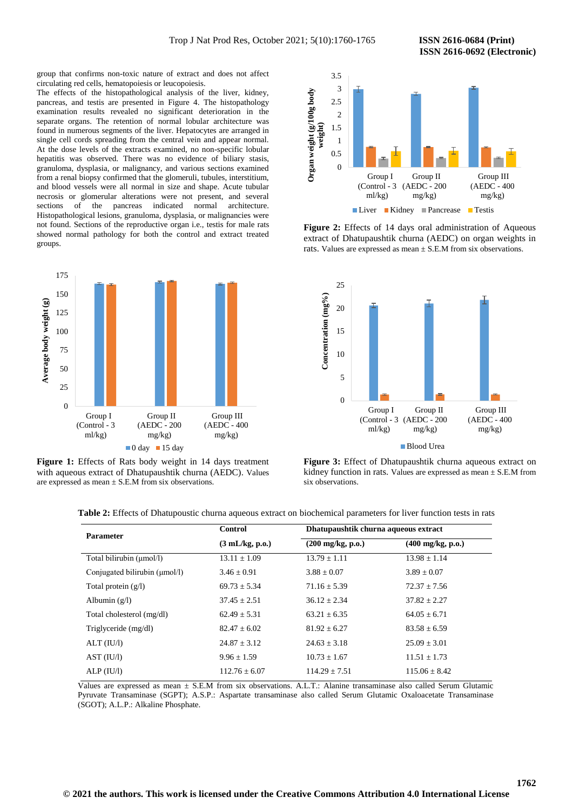group that confirms non-toxic nature of extract and does not affect circulating red cells, hematopoiesis or leucopoiesis.

The effects of the histopathological analysis of the liver, kidney, pancreas, and testis are presented in Figure 4. The histopathology examination results revealed no significant deterioration in the separate organs. The retention of normal lobular architecture was found in numerous segments of the liver. Hepatocytes are arranged in single cell cords spreading from the central vein and appear normal. At the dose levels of the extracts examined, no non-specific lobular hepatitis was observed. There was no evidence of biliary stasis, granuloma, dysplasia, or malignancy, and various sections examined from a renal biopsy confirmed that the glomeruli, tubules, interstitium, and blood vessels were all normal in size and shape. Acute tubular necrosis or glomerular alterations were not present, and several sections of the pancreas indicated normal architecture. Histopathological lesions, granuloma, dysplasia, or malignancies were not found. Sections of the reproductive organ i.e., testis for male rats showed normal pathology for both the control and extract treated groups.



**Figure 1:** Effects of Rats body weight in 14 days treatment with aqueous extract of Dhatupaushtik churna (AEDC). Values are expressed as mean  $\pm$  S.E.M from six observations.



**Figure 2:** Effects of 14 days oral administration of Aqueous extract of Dhatupaushtik churna (AEDC) on organ weights in rats. Values are expressed as mean  $\pm$  S.E.M from six observations.



**Figure 3:** Effect of Dhatupaushtik churna aqueous extract on kidney function in rats. Values are expressed as mean  $\pm$  S.E.M from six observations.

| <b>Parameter</b>              | <b>Control</b>                   |                                    | Dhatupaushtik churna aqueous extract |  |
|-------------------------------|----------------------------------|------------------------------------|--------------------------------------|--|
|                               | $(3 \text{ mL/kg}, \text{p.o.})$ | $(200 \text{ mg/kg}, \text{p.o.})$ | $(400 \text{ mg/kg}, \text{p.o.})$   |  |
| Total bilirubin (µmol/l)      | $13.11 \pm 1.09$                 | $13.79 \pm 1.11$                   | $13.98 \pm 1.14$                     |  |
| Conjugated bilirubin (umol/l) | $3.46 + 0.91$                    | $3.88 \pm 0.07$                    | $3.89 + 0.07$                        |  |
| Total protein $(g/l)$         | $69.73 \pm 5.34$                 | $71.16 \pm 5.39$                   | $72.37 \pm 7.56$                     |  |
| Albumin $(g/l)$               | $37.45 \pm 2.51$                 | $36.12 \pm 2.34$                   | $37.82 \pm 2.27$                     |  |
| Total cholesterol (mg/dl)     | $62.49 \pm 5.31$                 | $63.21 \pm 6.35$                   | $64.05 \pm 6.71$                     |  |
| Triglyceride (mg/dl)          | $82.47 \pm 6.02$                 | $81.92 \pm 6.27$                   | $83.58 \pm 6.59$                     |  |
| ALT (IU/I)                    | $24.87 \pm 3.12$                 | $24.63 \pm 3.18$                   | $25.09 \pm 3.01$                     |  |
| AST (IU/I)                    | $9.96 \pm 1.59$                  | $10.73 \pm 1.67$                   | $11.51 \pm 1.73$                     |  |
| ALP (IU/l)                    | $112.76 \pm 6.07$                | $114.29 \pm 7.51$                  | $115.06 + 8.42$                      |  |

Values are expressed as mean ± S.E.M from six observations. A.L.T.: Alanine transaminase also called Serum Glutamic Pyruvate Transaminase (SGPT); A.S.P.: Aspartate transaminase also called Serum Glutamic Oxaloacetate Transaminase (SGOT); A.L.P.: Alkaline Phosphate.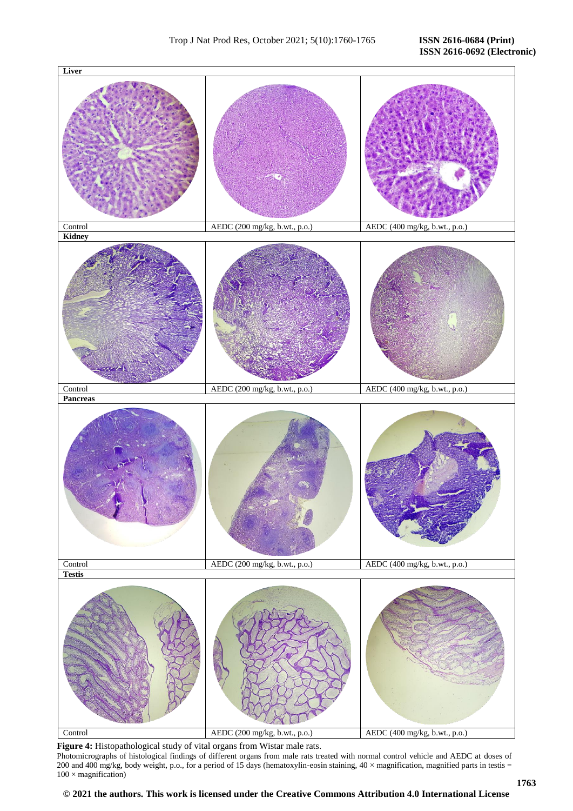

**Figure 4:** Histopathological study of vital organs from Wistar male rats. Photomicrographs of histological findings of different organs from male rats treated with normal control vehicle and AEDC at doses of 200 and 400 mg/kg, body weight, p.o., for a period of 15 days (hematoxylin-eosin staining,  $40 \times$  magnification, magnified parts in testis =  $100 \times$  magnification)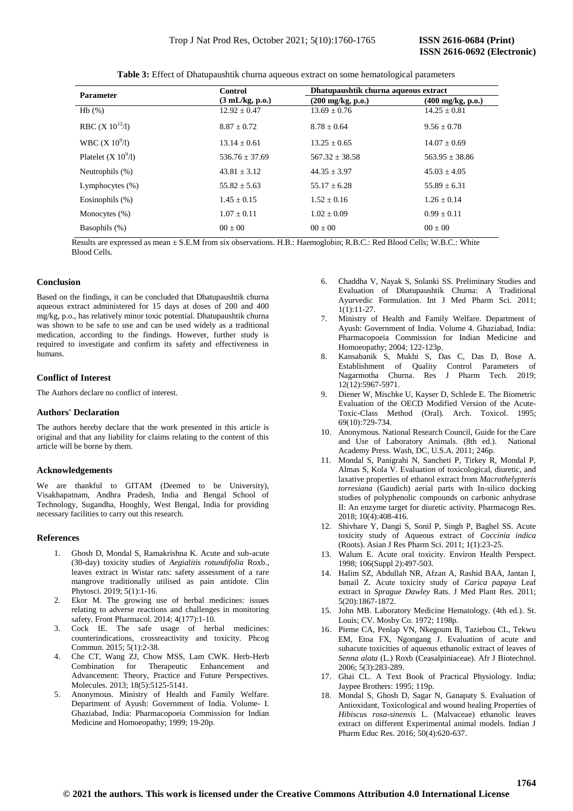| Parameter            | <b>Control</b>                   | Dhatupaushtik churna aqueous extract |                                    |
|----------------------|----------------------------------|--------------------------------------|------------------------------------|
|                      | $(3 \text{ mL/kg}, \text{p.o.})$ | $(200 \text{ mg/kg}, \text{p.o.})$   | $(400 \text{ mg/kg}, \text{p.o.})$ |
| Hb (%)               | $12.92 + 0.47$                   | $13.69 + 0.76$                       | $14.25 + 0.81$                     |
| RBC (X $10^{12}$ /l) | $8.87 + 0.72$                    | $8.78 + 0.64$                        | $9.56 + 0.78$                      |

 $13.14 \pm 0.61$   $13.25 \pm 0.65$   $14.07 \pm 0.69$ 

 $536.76 \pm 37.69$   $567.32 \pm 38.58$   $563.95 \pm 38.86$ 

**Table 3:** Effect of Dhatupaushtik churna aqueous extract on some hematological parameters

 Results are expressed as mean ± S.E.M from six observations. H.B.: Haemoglobin; R.B.C.: Red Blood Cells; W.B.C.: White Blood Cells.

Neutrophils (%) 43.81  $\pm$  3.12 44.35  $\pm$  3.97 45.03  $\pm$  4.05 Lymphocytes (%)  $55.82 \pm 5.63$   $55.17 \pm 6.28$   $55.89 \pm 6.31$ Eosinophils (%) 1.45 ± 0.15 1.52 ± 0.16 1.26 ± 0.14 Monocytes (%)  $1.07 \pm 0.11$   $1.02 \pm 0.09$   $0.99 \pm 0.11$ Basophils (%) 00 ± 00 00 ± 00 00 ± 00

#### **Conclusion**

Based on the findings, it can be concluded that Dhatupaushtik churna aqueous extract administered for 15 days at doses of 200 and 400 mg/kg, p.o., has relatively minor toxic potential. Dhatupaushtik churna was shown to be safe to use and can be used widely as a traditional medication, according to the findings. However, further study is required to investigate and confirm its safety and effectiveness in humans.

#### **Conflict of Interest**

The Authors declare no conflict of interest.

WBC  $(X 10^9/1)$ 

Platelet  $(X 10<sup>9</sup>/I)$ 

#### **Authors' Declaration**

The authors hereby declare that the work presented in this article is original and that any liability for claims relating to the content of this article will be borne by them.

## **Acknowledgements**

We are thankful to GITAM (Deemed to be University), Visakhapatnam, Andhra Pradesh, India and Bengal School of Technology, Sugandha, Hooghly, West Bengal, India for providing necessary facilities to carry out this research.

#### **References**

- 1. Ghosh D, Mondal S, Ramakrishna K. Acute and sub-acute (30-day) toxicity studies of *Aegialitis rotundifolia* Roxb., leaves extract in Wistar rats: safety assessment of a rare mangrove traditionally utilised as pain antidote. Clin Phytosci. 2019; 5(1):1-16.
- 2. Ekor M. The growing use of herbal medicines: issues relating to adverse reactions and challenges in monitoring safety. Front Pharmacol. 2014; 4(177):1-10.
- 3. Cock IE. The safe usage of herbal medicines: counterindications, crossreactivity and toxicity. Phcog Commun. 2015; 5(1):2-38.
- 4. Che CT, Wang ZJ, Chow MSS, Lam CWK. Herb-Herb Combination for Therapeutic Enhancement and Advancement: Theory, Practice and Future Perspectives. Molecules. 2013; 18(5):5125-5141.
- 5. Anonymous. Ministry of Health and Family Welfare. Department of Ayush: Government of India. Volume- I. Ghaziabad, India: Pharmacopoeia Commission for Indian Medicine and Homoeopathy; 1999; 19-20p.
- 6. Chaddha V, Nayak S, Solanki SS. Preliminary Studies and Evaluation of Dhatupaushtik Churna: A Traditional Ayurvedic Formulation. Int J Med Pharm Sci. 2011;  $1(1):11-27$ .
- 7. Ministry of Health and Family Welfare. Department of Ayush: Government of India. Volume 4. Ghaziabad, India: Pharmacopoeia Commission for Indian Medicine and Homoeopathy; 2004; 122-123p.
- 8. Kansabanik S, Mukhi S, Das C, Das D, Bose A. Establishment of Quality Control Parameters of Nagarmotha Churna. Res J Pharm Tech. 2019; 12(12):5967-5971.
- 9. Diener W, Mischke U, Kayser D, Schlede E. The Biometric Evaluation of the OECD Modified Version of the Acute-Toxic-Class Method (Oral). Arch. Toxicol. 1995; 69(10):729-734.
- 10. Anonymous. National Research Council, Guide for the Care and Use of Laboratory Animals. (8th ed.). National Academy Press. Wash, DC, U.S.A. 2011; 246p.
- 11. Mondal S, Panigrahi N, Sancheti P, Tirkey R, Mondal P, Almas S, Kola V. Evaluation of toxicological, diuretic, and laxative properties of ethanol extract from *Macrothelypteris torresiana* (Gaudich) aerial parts with In-silico docking studies of polyphenolic compounds on carbonic anhydrase II: An enzyme target for diuretic activity. Pharmacogn Res. 2018; 10(4):408-416.
- 12. Shivhare Y, Dangi S, Sonil P, Singh P, Baghel SS. Acute toxicity study of Aqueous extract of *Coccinia indica*  (Roots). Asian J Res Pharm Sci. 2011; 1(1):23-25.
- 13. Walum E. Acute oral toxicity. Environ Health Perspect. 1998; 106(Suppl 2):497-503.
- 14. Halim SZ, Abdullah NR, Afzan A, Rashid BAA, Jantan I, Ismail Z. Acute toxicity study of *Carica papaya* Leaf extract in *Sprague Dawley* Rats. J Med Plant Res. 2011; 5(20):1867-1872.
- 15. John MB. Laboratory Medicine Hematology. (4th ed.). St. Louis; CV. Mosby Co. 1972; 1198p.
- 16. Pieme CA, Penlap VN, Nkegoum B, Taziebou CL, Tekwu EM, Etoa FX, Ngongang J. Evaluation of acute and subacute toxicities of aqueous ethanolic extract of leaves of *Senna alata* (L.) Roxb (Ceasalpiniaceae). Afr J Biotechnol. 2006; 5(3):283-289.
- 17. Ghai CL. A Text Book of Practical Physiology. India; Jaypee Brothers: 1995; 119p.
- 18. Mondal S, Ghosh D, Sagar N, Ganapaty S. Evaluation of Antioxidant, Toxicological and wound healing Properties of *Hibiscus rosa-sinensis* L. (Malvaceae) ethanolic leaves extract on different Experimental animal models. Indian J Pharm Educ Res. 2016; 50(4):620-637.